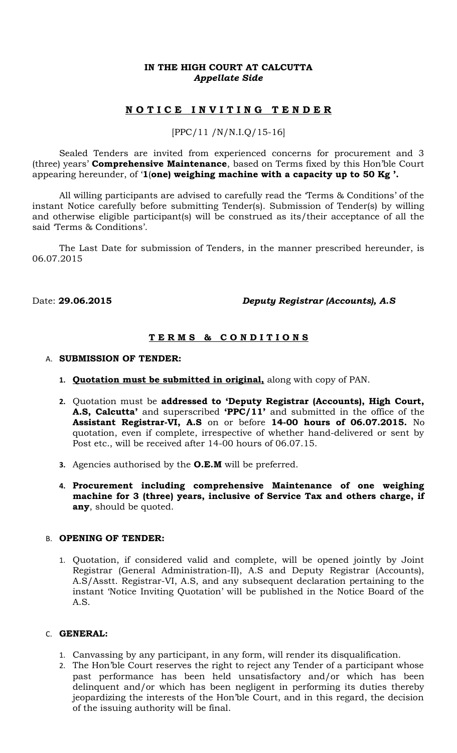### **IN THE HIGH COURT AT CALCUTTA** *Appellate Side*

# **N O T I C E I N V I T I N G T E N D E R**

### [PPC/11 /N/N.I.Q/15-16]

Sealed Tenders are invited from experienced concerns for procurement and 3 (three) years' **Comprehensive Maintenance**, based on Terms fixed by this Hon'ble Court appearing hereunder, of '**1**(**one) weighing machine with a capacity up to 50 Kg '.**

All willing participants are advised to carefully read the 'Terms & Conditions' of the instant Notice carefully before submitting Tender(s). Submission of Tender(s) by willing and otherwise eligible participant(s) will be construed as its/their acceptance of all the said 'Terms & Conditions'.

The Last Date for submission of Tenders, in the manner prescribed hereunder, is 06.07.2015

### Date: **29.06.2015** *Deputy Registrar (Accounts), A.S*

## **T E R M S & C O N D I T I O N S**

- A. **SUBMISSION OF TENDER:**
	- **1. Quotation must be submitted in original,** along with copy of PAN.
	- **2.** Quotation must be **addressed to 'Deputy Registrar (Accounts), High Court, A.S, Calcutta'** and superscribed **'PPC/11'** and submitted in the office of the **Assistant Registrar-VI, A.S** on or before **14-00 hours of 06.07.2015.** No quotation, even if complete, irrespective of whether hand-delivered or sent by Post etc., will be received after 14-00 hours of 06.07.15.
	- **3.** Agencies authorised by the **O.E.M** will be preferred.
	- **4. Procurement including comprehensive Maintenance of one weighing machine for 3 (three) years, inclusive of Service Tax and others charge, if any**, should be quoted.

#### B. **OPENING OF TENDER:**

1. Quotation, if considered valid and complete, will be opened jointly by Joint Registrar (General Administration-II), A.S and Deputy Registrar (Accounts), A.S/Asstt. Registrar-VI, A.S, and any subsequent declaration pertaining to the instant 'Notice Inviting Quotation' will be published in the Notice Board of the A.S.

#### C. **GENERAL:**

- 1. Canvassing by any participant, in any form, will render its disqualification.
- 2. The Hon'ble Court reserves the right to reject any Tender of a participant whose past performance has been held unsatisfactory and/or which has been delinquent and/or which has been negligent in performing its duties thereby jeopardizing the interests of the Hon'ble Court, and in this regard, the decision of the issuing authority will be final.